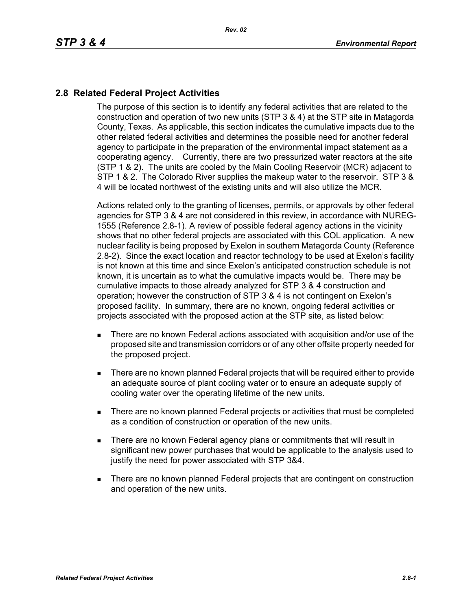## **2.8 Related Federal Project Activities**

The purpose of this section is to identify any federal activities that are related to the construction and operation of two new units (STP 3 & 4) at the STP site in Matagorda County, Texas. As applicable, this section indicates the cumulative impacts due to the other related federal activities and determines the possible need for another federal agency to participate in the preparation of the environmental impact statement as a cooperating agency. Currently, there are two pressurized water reactors at the site (STP 1 & 2). The units are cooled by the Main Cooling Reservoir (MCR) adjacent to STP 1 & 2. The Colorado River supplies the makeup water to the reservoir. STP 3 & 4 will be located northwest of the existing units and will also utilize the MCR.

Actions related only to the granting of licenses, permits, or approvals by other federal agencies for STP 3 & 4 are not considered in this review, in accordance with NUREG-1555 (Reference 2.8-1). A review of possible federal agency actions in the vicinity shows that no other federal projects are associated with this COL application. A new nuclear facility is being proposed by Exelon in southern Matagorda County (Reference 2.8-2). Since the exact location and reactor technology to be used at Exelon's facility is not known at this time and since Exelon's anticipated construction schedule is not known, it is uncertain as to what the cumulative impacts would be. There may be cumulative impacts to those already analyzed for STP 3 & 4 construction and operation; however the construction of STP 3 & 4 is not contingent on Exelon's proposed facility. In summary, there are no known, ongoing federal activities or projects associated with the proposed action at the STP site, as listed below:

- There are no known Federal actions associated with acquisition and/or use of the proposed site and transmission corridors or of any other offsite property needed for the proposed project.
- **There are no known planned Federal projects that will be required either to provide** an adequate source of plant cooling water or to ensure an adequate supply of cooling water over the operating lifetime of the new units.
- There are no known planned Federal projects or activities that must be completed as a condition of construction or operation of the new units.
- **There are no known Federal agency plans or commitments that will result in** significant new power purchases that would be applicable to the analysis used to justify the need for power associated with STP 3&4.
- **There are no known planned Federal projects that are contingent on construction** and operation of the new units.